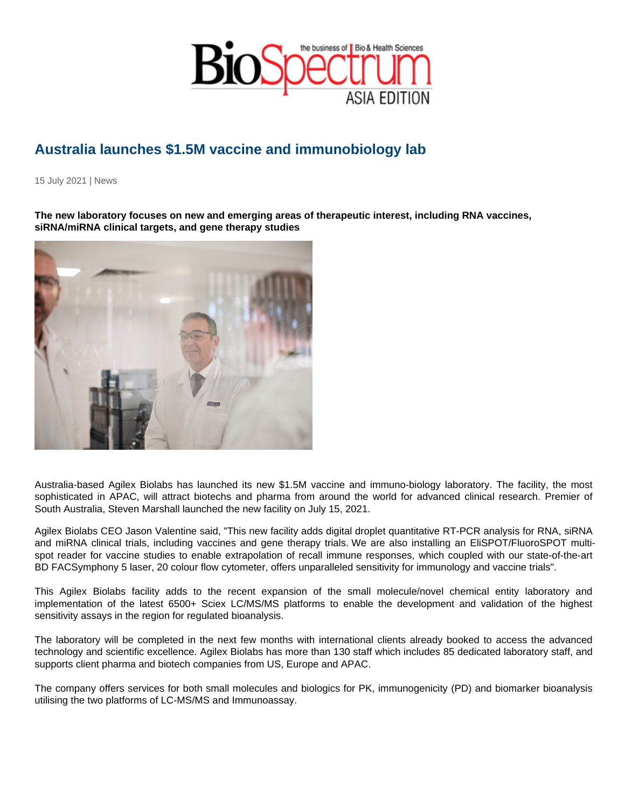## Australia launches \$1.5M vaccine and immunobiology lab

15 July 2021 | News

The new laboratory focuses on new and emerging areas of therapeutic interest, including RNA vaccines, siRNA/miRNA clinical targets, and gene therapy studies

Australia-based Agilex Biolabs has launched its new \$1.5M vaccine and immuno-biology laboratory. The facility, the most sophisticated in APAC, will attract biotechs and pharma from around the world for advanced clinical research. Premier of South Australia, Steven Marshall launched the new facility on July 15, 2021.

Agilex Biolabs CEO Jason Valentine said, "This new facility adds digital droplet quantitative RT-PCR analysis for RNA, siRNA and miRNA clinical trials, including vaccines and gene therapy trials. We are also installing an EliSPOT/FluoroSPOT multispot reader for vaccine studies to enable extrapolation of recall immune responses, which coupled with our state-of-the-art BD FACSymphony 5 laser, 20 colour flow cytometer, offers unparalleled sensitivity for immunology and vaccine trials".

This Agilex Biolabs facility adds to the recent expansion of the small molecule/novel chemical entity laboratory and implementation of the latest 6500+ Sciex LC/MS/MS platforms to enable the development and validation of the highest sensitivity assays in the region for regulated bioanalysis.

The laboratory will be completed in the next few months with international clients already booked to access the advanced technology and scientific excellence. Agilex Biolabs has more than 130 staff which includes 85 dedicated laboratory staff, and supports client pharma and biotech companies from US, Europe and APAC.

The company offers services for both small molecules and biologics for PK, immunogenicity (PD) and biomarker bioanalysis utilising the two platforms of LC-MS/MS and Immunoassay.